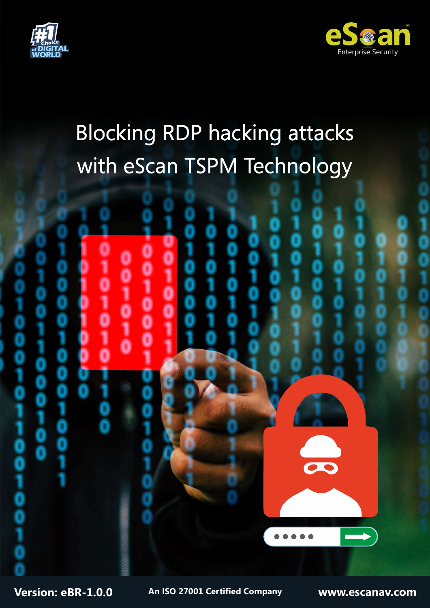



# Blocking RDP hacking attacks with eScan TSPM Technology



**Version: eBR-1.0.0 www.escanav.com An ISO 27001 Certified Company**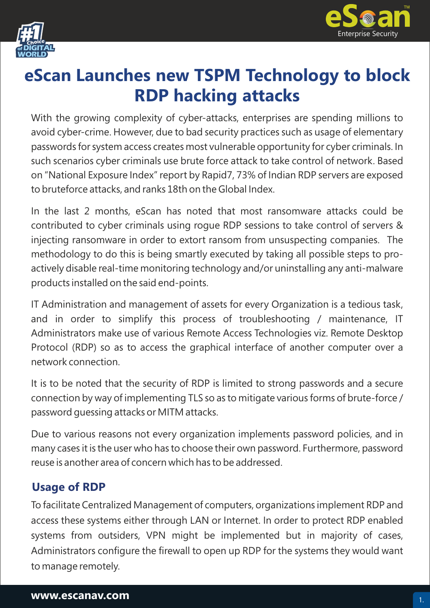



## **eScan Launches new TSPM Technology to block RDP hacking attacks**

With the growing complexity of cyber-attacks, enterprises are spending millions to avoid cyber-crime. However, due to bad security practices such as usage of elementary passwords for system access creates most vulnerable opportunity for cyber criminals. In such scenarios cyber criminals use brute force attack to take control of network. Based on "National Exposure Index" report by Rapid7, 73% of Indian RDP servers are exposed to bruteforce attacks, and ranks 18th on the Global Index.

In the last 2 months, eScan has noted that most ransomware attacks could be contributed to cyber criminals using rogue RDP sessions to take control of servers & injecting ransomware in order to extort ransom from unsuspecting companies. The methodology to do this is being smartly executed by taking all possible steps to proactively disable real-time monitoring technology and/or uninstalling any anti-malware products installed on the said end-points.

IT Administration and management of assets for every Organization is a tedious task, and in order to simplify this process of troubleshooting / maintenance, IT Administrators make use of various Remote Access Technologies viz. Remote Desktop Protocol (RDP) so as to access the graphical interface of another computer over a network connection.

It is to be noted that the security of RDP is limited to strong passwords and a secure connection by way of implementing TLS so as to mitigate various forms of brute-force / password guessing attacks or MITM attacks.

Due to various reasons not every organization implements password policies, and in many cases it is the user who has to choose their own password. Furthermore, password reuse is another area of concern which has to be addressed.

#### **Usage of RDP**

To facilitate Centralized Management of computers, organizations implement RDP and access these systems either through LAN or Internet. In order to protect RDP enabled systems from outsiders, VPN might be implemented but in majority of cases, Administrators configure the firewall to open up RDP for the systems they would want to manage remotely.